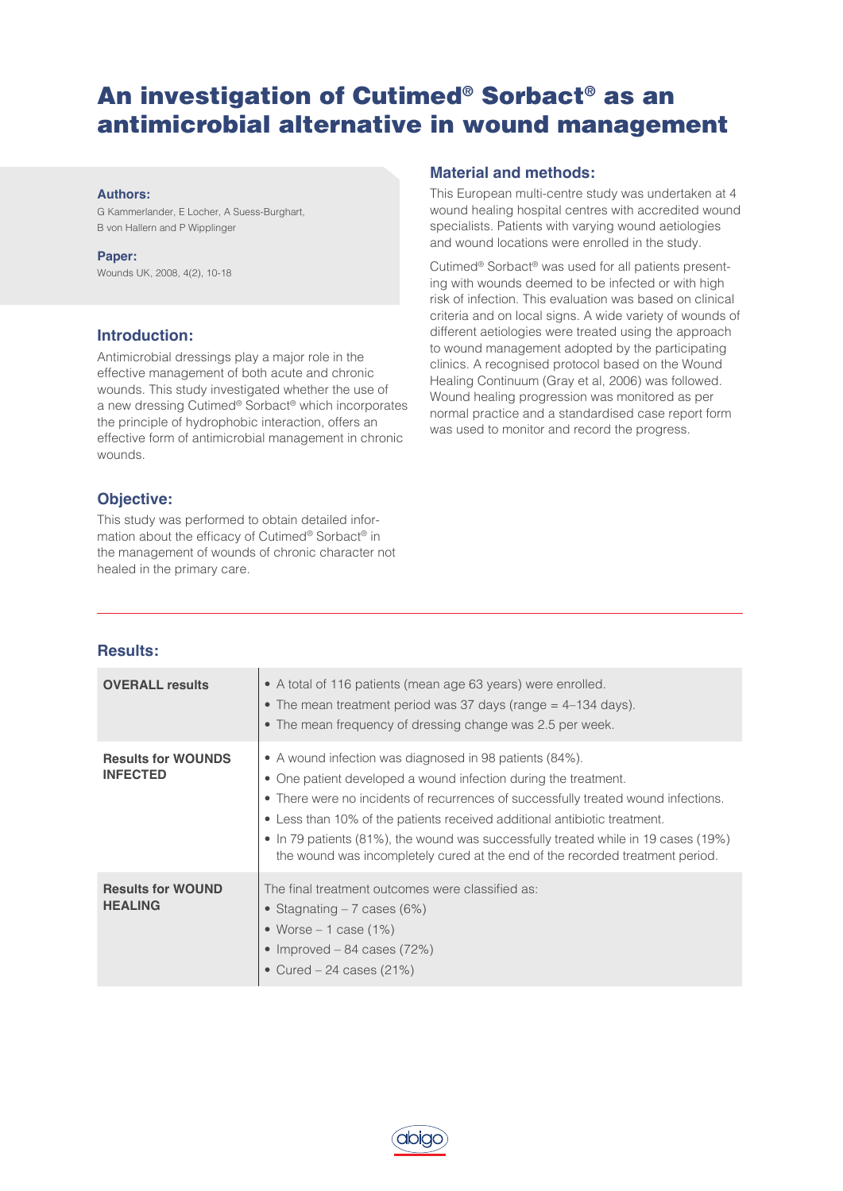# An investigation of Cutimed® Sorbact® as an antimicrobial alternative in wound management

#### **Authors:**

G Kammerlander, E Locher, A Suess-Burghart, B von Hallern and P Wipplinger

#### **Paper:**

Wounds UK, 2008, 4(2), 10-18

## **Introduction:**

Antimicrobial dressings play a major role in the effective management of both acute and chronic wounds. This study investigated whether the use of a new dressing Cutimed® Sorbact® which incorporates the principle of hydrophobic interaction, offers an effective form of antimicrobial management in chronic wounds.

## **Objective:**

This study was performed to obtain detailed information about the efficacy of Cutimed® Sorbact® in the management of wounds of chronic character not healed in the primary care.

## **Material and methods:**

This European multi-centre study was undertaken at 4 wound healing hospital centres with accredited wound specialists. Patients with varying wound aetiologies and wound locations were enrolled in the study.

Cutimed® Sorbact® was used for all patients presenting with wounds deemed to be infected or with high risk of infection. This evaluation was based on clinical criteria and on local signs. A wide variety of wounds of different aetiologies were treated using the approach to wound management adopted by the participating clinics. A recognised protocol based on the Wound Healing Continuum (Gray et al, 2006) was followed. Wound healing progression was monitored as per normal practice and a standardised case report form was used to monitor and record the progress.

### **Results:**

| <b>OVERALL results</b>                       | • A total of 116 patients (mean age 63 years) were enrolled.<br>• The mean treatment period was 37 days (range $=$ 4–134 days).<br>• The mean frequency of dressing change was 2.5 per week.                                                                                                                                                                                                                                                                         |
|----------------------------------------------|----------------------------------------------------------------------------------------------------------------------------------------------------------------------------------------------------------------------------------------------------------------------------------------------------------------------------------------------------------------------------------------------------------------------------------------------------------------------|
| <b>Results for WOUNDS</b><br><b>INFECTED</b> | • A wound infection was diagnosed in 98 patients (84%).<br>• One patient developed a wound infection during the treatment.<br>• There were no incidents of recurrences of successfully treated wound infections.<br>• Less than 10% of the patients received additional antibiotic treatment.<br>• In 79 patients (81%), the wound was successfully treated while in 19 cases (19%)<br>the wound was incompletely cured at the end of the recorded treatment period. |
| <b>Results for WOUND</b><br><b>HEALING</b>   | The final treatment outcomes were classified as:<br>• Stagnating $-7$ cases (6%)<br>• Worse $-1$ case (1%)<br>• Improved – 84 cases $(72%)$<br>• Cured $-24$ cases (21%)                                                                                                                                                                                                                                                                                             |